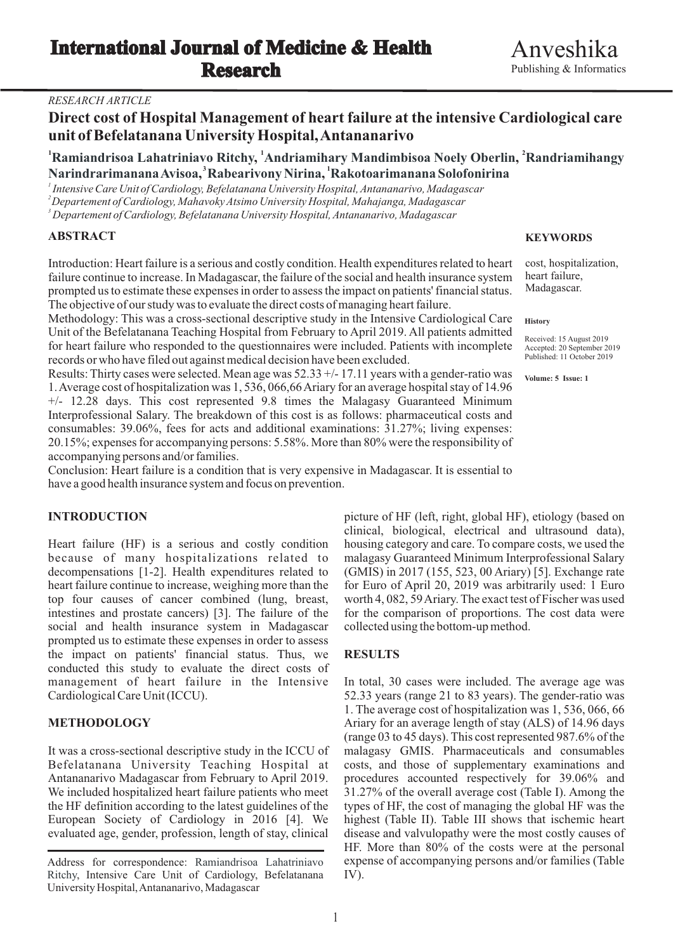## *RESEARCH ARTICLE*

# **Direct cost of Hospital Management of heart failure at the intensive Cardiological care unit of Befelatanana University Hospital, Antananarivo**

<sup>1</sup> Ramiandrisoa Lahatriniavo Ritchy, <sup>1</sup>Andriamihary Mandimbisoa Noely Oberlin, <sup>2</sup>Randriamihangy **3 1 , , Narindrarimanana Avisoa Rabearivony Nirina Rakotoarimanana Solofonirina**

*1 Intensive Care Unit of Cardiology, Befelatanana University Hospital, Antananarivo, Madagascar <sup>2</sup>Departement of Cardiology, Mahavoky Atsimo University Hospital, Mahajanga, Madagascar*

*<sup>3</sup> Departement of Cardiology, Befelatanana University Hospital, Antananarivo, Madagascar*

# **ABSTRACT**

Introduction: Heart failure is a serious and costly condition. Health expenditures related to heart failure continue to increase. In Madagascar, the failure of the social and health insurance system prompted us to estimate these expenses in order to assess the impact on patients' financial status. The objective of our study was to evaluate the direct costs of managing heart failure.

Methodology: This was a cross-sectional descriptive study in the Intensive Cardiological Care Unit of the Befelatanana Teaching Hospital from February to April 2019. All patients admitted for heart failure who responded to the questionnaires were included. Patients with incomplete records or who have filed out against medical decision have been excluded.

Results: Thirty cases were selected. Mean age was 52.33 +/- 17.11 years with a gender-ratio was 1. Average cost of hospitalization was 1, 536, 066,66 Ariary for an average hospital stay of 14.96 +/- 12.28 days. This cost represented 9.8 times the Malagasy Guaranteed Minimum Interprofessional Salary. The breakdown of this cost is as follows: pharmaceutical costs and consumables: 39.06%, fees for acts and additional examinations: 31.27%; living expenses: 20.15%; expenses for accompanying persons: 5.58%. More than 80% were the responsibility of accompanying persons and/or families.

Conclusion: Heart failure is a condition that is very expensive in Madagascar. It is essential to have a good health insurance system and focus on prevention.

Heart failure (HF) is a serious and costly condition housing category and care. To compare costs, we used the because of many hospitalizations related to malagasy Guaranteed Minimum Interprofessional Salary decompensations [1-2]. Health expenditures related to (GMIS) in 2017 (155, 523, 00 Ariary) [5]. Exchange rate heart failure continue to increase, weighing more than the for Euro of April 20, 2019 was arbitrarily used: 1 Euro top four causes of cancer combined (lung, breast, worth 4, 082, 59 Ariary. The exact test of Fischer was used<br>intestines and prostate cancers) [3]. The failure of the for the comparison of proportions. The cost data were social and health insurance system in Madagascar collected using the bottom-up method. prompted us to estimate these expenses in order to assess the impact on patients' financial status. Thus, we **RESULTS** conducted this study to evaluate the direct costs of management of heart failure in the Intensive In total, 30 cases were included. The average age was Cardiological Care Unit (ICCU). 52.33 years (range 21 to 83 years). The gender-ratio was

Befelatanana University Teaching Hospital at costs, and those of supplementary examinations and Antananarivo Madagascar from February to April 2019. procedures accounted respectively for 39.06% and We included hospitalized heart failure patients who meet 31.27% of the overall average cost (Table I). Among the the HF definition according to the latest guidelines of the types of HF, the cost of managing the global HF was the European Society of Cardiology in 2016 [4]. We highest (Table II). Table III shows that ischemic heart evaluated age, gender, profession, length of stay, clinical disease and valvulopathy were the most costly causes of

### **KEYWORDS**

cost, hospitalization, heart failure, Madagascar.

### **History**

Received: 15 August 2019 Accepted: 20 September 2019 Published: 11 October 2019

**Volume: 5 Issue: 1**

**INTRODUCTION** picture of HF (left, right, global HF), etiology (based on clinical, biological, electrical and ultrasound data), for the comparison of proportions. The cost data were

1. The average cost of hospitalization was 1, 536, 066, 66 **METHODOLOGY** Ariary for an average length of stay (ALS) of 14.96 days (range 03 to 45 days). This cost represented 987.6% of the It was a cross-sectional descriptive study in the ICCU of malagasy GMIS. Pharmaceuticals and consumables HF. More than 80% of the costs were at the personal expense of accompanying persons and/or families (Table IV).

Address for correspondence: Ramiandrisoa Lahatriniavo Ritchy, Intensive Care Unit of Cardiology, Befelatanana University Hospital, Antananarivo, Madagascar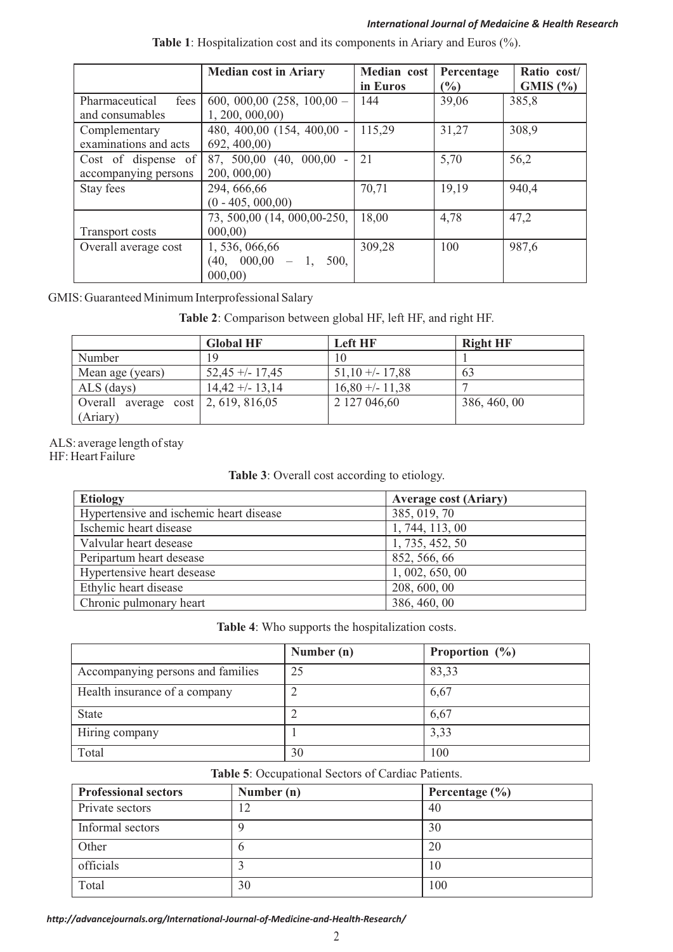## *International Journal of Medaicine & Health Research*

|                        | <b>Median cost in Ariary</b>  | Median cost | Percentage    | Ratio cost/ |
|------------------------|-------------------------------|-------------|---------------|-------------|
|                        |                               | in Euros    | $\frac{6}{2}$ | GMIS(%)     |
| Pharmaceutical<br>fees | $600, 000, 00$ (258, 100,00 - | 144         | 39,06         | 385,8       |
| and consumables        | 1, 200, 000, 00               |             |               |             |
| Complementary          | 480, 400,00 (154, 400,00 -    | 115,29      | 31,27         | 308,9       |
| examinations and acts  | 692, 400,00                   |             |               |             |
| Cost of dispense of    | 87, 500,00 (40, 000,00 -      | 21          | 5,70          | 56,2        |
| accompanying persons   | 200, 000, 00                  |             |               |             |
| Stay fees              | 294, 666, 66                  | 70,71       | 19,19         | 940,4       |
|                        | $(0 - 405, 000, 00)$          |             |               |             |
|                        | 73, 500,00 (14, 000,00-250,   | 18,00       | 4,78          | 47,2        |
| <b>Transport costs</b> | 000,00                        |             |               |             |
| Overall average cost   | 1, 536, 066, 66               | 309,28      | 100           | 987,6       |
|                        | $(40, 000, 00 - 1,$<br>500,   |             |               |             |
|                        | 000,00                        |             |               |             |

|  | Table 1: Hospitalization cost and its components in Ariary and Euros (%). |
|--|---------------------------------------------------------------------------|
|  |                                                                           |

GMIS: Guaranteed Minimum Interprofessional Salary

**Table 2**: Comparison between global HF, left HF, and right HF.

|                                              | <b>Global HF</b>  | <b>Left HF</b>   | <b>Right HF</b> |
|----------------------------------------------|-------------------|------------------|-----------------|
| Number                                       | 19                | 10               |                 |
| Mean age (years)                             | $52,45 + -17,45$  | $51,10 + -17,88$ | 63              |
| ALS (days)                                   | $14,42 + - 13,14$ | $16,80 + -11,38$ |                 |
| Overall average $\cos \theta$ 2, 619, 816,05 |                   | 2 127 046,60     | 386, 460, 00    |
| (Ariary)                                     |                   |                  |                 |

ALS: average length of stay

HF: Heart Failure

**Table 3**: Overall cost according to etiology.

| <b>Etiology</b>                         | <b>Average cost (Ariary)</b> |
|-----------------------------------------|------------------------------|
| Hypertensive and ischemic heart disease | 385, 019, 70                 |
| Ischemic heart disease                  | 1, 744, 113, 00              |
| Valvular heart desease                  | 1, 735, 452, 50              |
| Peripartum heart desease                | 852, 566, 66                 |
| Hypertensive heart desease              | 1, 002, 650, 00              |
| Ethylic heart disease                   | 208, 600, 00                 |
| Chronic pulmonary heart                 | 386, 460, 00                 |

**Table 4**: Who supports the hospitalization costs.

|                                   | Number (n) | Proportion $(\%)$ |
|-----------------------------------|------------|-------------------|
| Accompanying persons and families | 25         | 83,33             |
| Health insurance of a company     |            | 6,67              |
| <b>State</b>                      |            | 6,67              |
| Hiring company                    |            | 3,33              |
| Total                             | 30         | 100               |

**Table 5**: Occupational Sectors of Cardiac Patients.

| <b>Professional sectors</b> | Number (n) | Percentage $(\% )$ |
|-----------------------------|------------|--------------------|
| Private sectors             | 12         | 40                 |
| Informal sectors            |            | 30                 |
| Other                       | $\theta$   | 20                 |
| officials                   |            | 10                 |
| Total                       | 30         | 100                |

*http://advancejournals.org/International-Journal-of-Medicine-and-Health-Research/*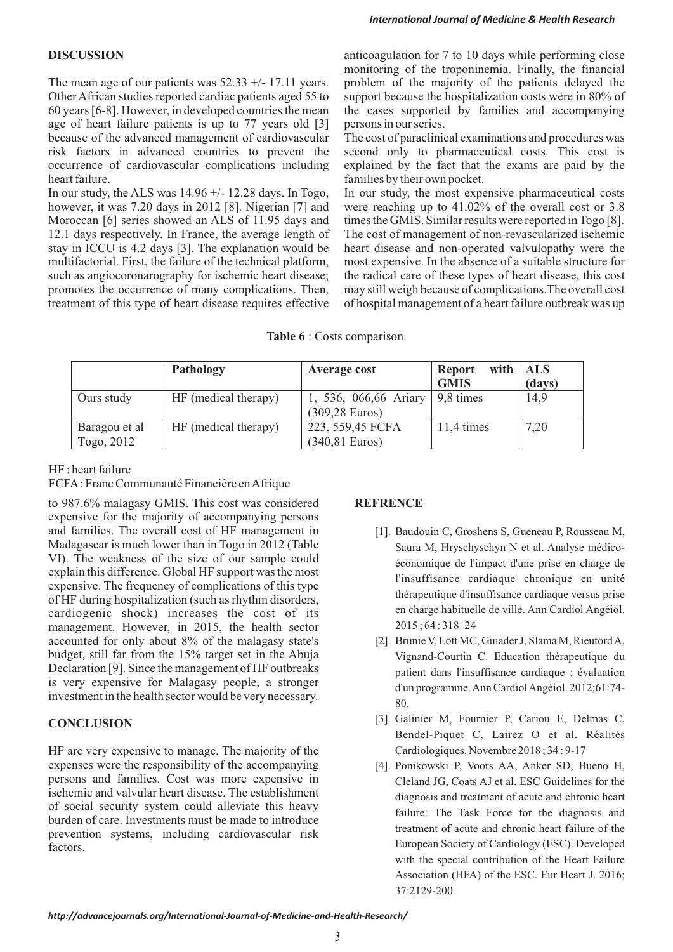Other African studies reported cardiac patients aged 55 to support because the hospitalization costs were in 80% of 60 years [6-8]. However, in developed countries the mean the cases supported by families and accompanying age of heart failure patients is up to 77 years old [3] persons in our series. because of the advanced management of cardiovascular The cost of paraclinical examinations and procedures was risk factors in advanced countries to prevent the second only to pharmaceutical costs. This cost is occurrence of cardiovascular complications including explained by the fact that the exams are paid by the heart failure. **families** by their own pocket.

Moroccan [6] series showed an ALS of 11.95 days and

**DISCUSSION** anticoagulation for 7 to 10 days while performing close monitoring of the troponinemia. Finally, the financial The mean age of our patients was  $52.33 + (-17.11)$  years. problem of the majority of the patients delayed the

In our study, the ALS was 14.96 +/- 12.28 days. In Togo, In our study, the most expensive pharmaceutical costs however, it was 7.20 days in 2012 [8]. Nigerian [7] and were reaching up to 41.02% of the overall cost or 3.8 Moroccan [6] series showed an ALS of 11.95 days and times the GMIS. Similar results were reported in Togo [8]. 12.1 days respectively. In France, the average length of The cost of management of non-revascularized ischemic stay in ICCU is 4.2 days [3]. The explanation would be heart disease and non-operated valvulopathy were the multifactorial. First, the failure of the technical platform, most expensive. In the absence of a suitable structure for such as angiocoronarography for ischemic heart disease; the radical care of these types of heart disease, this cost promotes the occurrence of many complications. Then, may still weigh because of complications. The overall cost treatment of this type of heart disease requires effective of hospital management of a heart failure outbreak of hospital management of a heart failure outbreak was up

**Table 6** : Costs comparison.

|                             | Pathology            | Average cost                                | with $\vert$ ALS<br><b>Report</b><br><b>GMIS</b> | (days) |
|-----------------------------|----------------------|---------------------------------------------|--------------------------------------------------|--------|
| Ours study                  | HF (medical therapy) | 1, 536, 066,66 Ariary<br>$(309, 28)$ Euros) | 9,8 times                                        | 14,9   |
| Baragou et al<br>Togo, 2012 | HF (medical therapy) | 223, 559,45 FCFA<br>$(340, 81$ Euros)       | 11,4 times                                       | 7,20   |

### HF : heart failure

FCFA: Franc Communauté Financière en Afrique

to 987.6% malagasy GMIS. This cost was considered **REFRENCE** expensive for the majority of accompanying persons and families. The overall cost of HF management in [1]. Baudouin C, Groshens S, Gueneau P, Rousseau M, Madagascar is much lower than in Togo in 2012 (Table Saura M, Hryschyschyn N et al. Analyse médico-VI). The weakness of the size of our sample could économique de l'impact d'une prise en charge de explain this difference. Global HF support was the most l'insuffisance cardiaque chronique en unité expensive. The frequency of complications of this type thérapeutique d'insuffisance cardiaque versus prise<br>of HF during hospitalization (such as rhythm disorders,<br>cardiogenic shock) increases the cost of its<br>en charge habituelle de ville. Ann Cardiol Angéiol. cardiogenic shock) increases the cost of its  $\frac{1}{2015}$  encharge habituel<br>management However in 2015 the health sector  $\frac{2015:64:318-24}{2015}$ management. However, in 2015, the health sector accounted for only about 8% of the malagasy state's [2]. Brunie V, Lott MC, Guiader J, Slama M, Rieutord A, budget, still far from the 15% target set in the Abuja Vignand-Courtin C. Education thérapeutique du Declaration [9]. Since the management of HF outbreaks patient dans l'insuffisance cardiaque : évaluation is very expensive for Malagasy people, a stronger is very expensive for Malagasy people, a stronger d'un programme. Ann Cardiol Angéiol. 2012;61:74- investment in the health sector would be very necessary.

HF are very expensive to manage. The majority of the Cardiologiques. Novembre 2018; 34: 9-17 expenses were the responsibility of the accompanying [4]. Ponikowski P, Voors AA, Anker SD, Bueno H, persons and families. Cost was more expensive in Cleland JG, Coats AJ et al. ESC Guidelines for the ischemic and valvular heart disease. The establishment diagnosis and treatment of acute and chronic heart of social security system could alleviate this heavy of social security system could alleviate this heavy<br>burden of care. Investments must be made to introduce<br>treatment of acute and chronic heart failure of the<br>treatment of acute and chronic heart failure of the prevention systems, including cardiovascular risk European Society of Cardiology (ESC). Developed factors.

- 
- 80.
- [3]. Galinier M, Fournier P, Cariou E, Delmas C, **CONCLUSION** Bendel-Piquet C, Lairez O et al. Réalités
	- with the special contribution of the Heart Failure Association (HFA) of the ESC. Eur Heart J. 2016; 37:2129-200

*http://advancejournals.org/International-Journal-of-Medicine-and-Health-Research/*